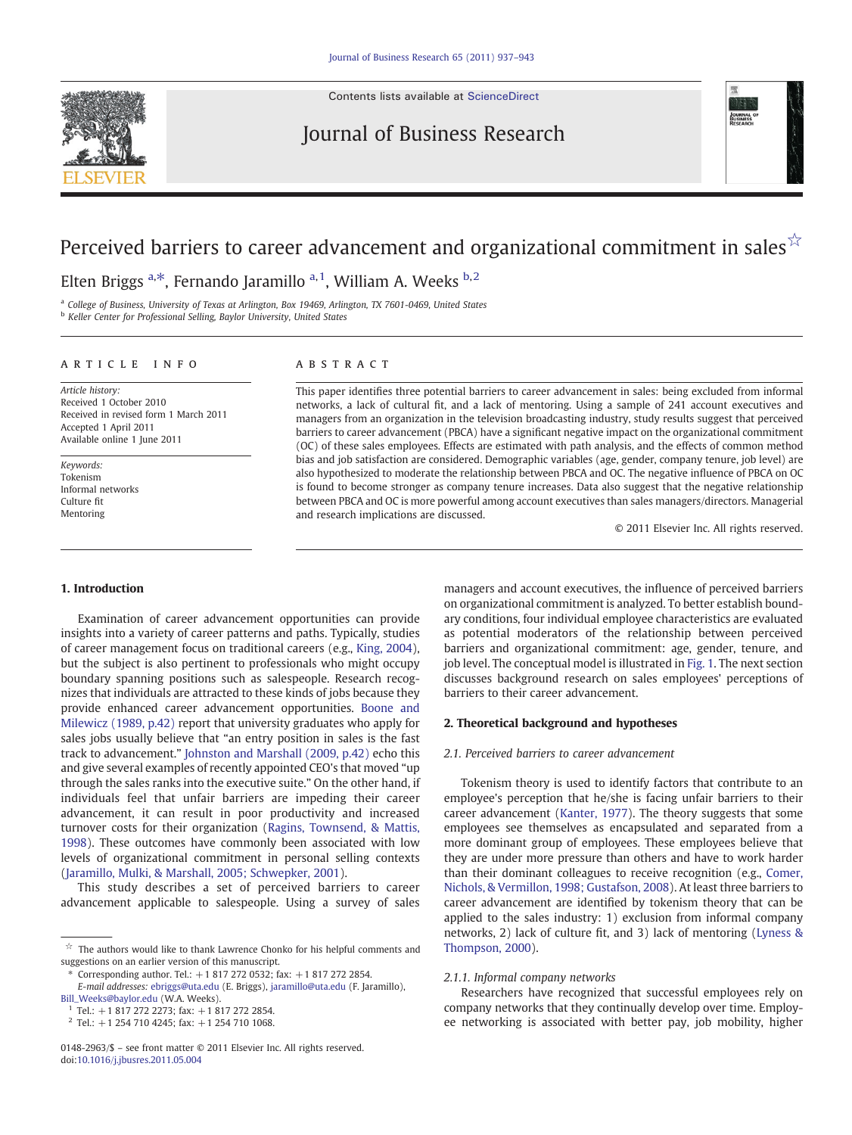Contents lists available at [ScienceDirect](http://www.sciencedirect.com/science/journal/01482963)

### Journal of Business Research



# Perceived barriers to career advancement and organizational commitment in sales $\sqrt{x}$

Elten Briggs <sup>a,\*</sup>, Fernando Jaramillo <sup>a, 1</sup>, William A. Weeks <sup>b, 2</sup>

<sup>a</sup> College of Business, University of Texas at Arlington, Box 19469, Arlington, TX 7601-0469, United States **b** Keller Center for Professional Selling, Baylor University, United States

#### article info abstract

Article history: Received 1 October 2010 Received in revised form 1 March 2011 Accepted 1 April 2011 Available online 1 June 2011

Keywords: Tokenism Informal networks Culture fit Mentoring

This paper identifies three potential barriers to career advancement in sales: being excluded from informal networks, a lack of cultural fit, and a lack of mentoring. Using a sample of 241 account executives and managers from an organization in the television broadcasting industry, study results suggest that perceived barriers to career advancement (PBCA) have a significant negative impact on the organizational commitment (OC) of these sales employees. Effects are estimated with path analysis, and the effects of common method bias and job satisfaction are considered. Demographic variables (age, gender, company tenure, job level) are also hypothesized to moderate the relationship between PBCA and OC. The negative influence of PBCA on OC is found to become stronger as company tenure increases. Data also suggest that the negative relationship between PBCA and OC is more powerful among account executives than sales managers/directors. Managerial and research implications are discussed.

© 2011 Elsevier Inc. All rights reserved.

#### 1. Introduction

Examination of career advancement opportunities can provide insights into a variety of career patterns and paths. Typically, studies of career management focus on traditional careers (e.g., [King, 2004](#page--1-0)), but the subject is also pertinent to professionals who might occupy boundary spanning positions such as salespeople. Research recognizes that individuals are attracted to these kinds of jobs because they provide enhanced career advancement opportunities. [Boone and](#page--1-0) [Milewicz \(1989, p.42\)](#page--1-0) report that university graduates who apply for sales jobs usually believe that "an entry position in sales is the fast track to advancement." [Johnston and Marshall \(2009, p.42\)](#page--1-0) echo this and give several examples of recently appointed CEO's that moved "up through the sales ranks into the executive suite." On the other hand, if individuals feel that unfair barriers are impeding their career advancement, it can result in poor productivity and increased turnover costs for their organization [\(Ragins, Townsend, & Mattis,](#page--1-0) [1998\)](#page--1-0). These outcomes have commonly been associated with low levels of organizational commitment in personal selling contexts [\(Jaramillo, Mulki, & Marshall, 2005; Schwepker, 2001\)](#page--1-0).

This study describes a set of perceived barriers to career advancement applicable to salespeople. Using a survey of sales

managers and account executives, the influence of perceived barriers on organizational commitment is analyzed. To better establish boundary conditions, four individual employee characteristics are evaluated as potential moderators of the relationship between perceived barriers and organizational commitment: age, gender, tenure, and job level. The conceptual model is illustrated in [Fig. 1](#page-1-0). The next section discusses background research on sales employees' perceptions of barriers to their career advancement.

### 2. Theoretical background and hypotheses

#### 2.1. Perceived barriers to career advancement

Tokenism theory is used to identify factors that contribute to an employee's perception that he/she is facing unfair barriers to their career advancement ([Kanter, 1977\)](#page--1-0). The theory suggests that some employees see themselves as encapsulated and separated from a more dominant group of employees. These employees believe that they are under more pressure than others and have to work harder than their dominant colleagues to receive recognition (e.g., [Comer,](#page--1-0) [Nichols, & Vermillon, 1998; Gustafson, 2008](#page--1-0)). At least three barriers to career advancement are identified by tokenism theory that can be applied to the sales industry: 1) exclusion from informal company networks, 2) lack of culture fit, and 3) lack of mentoring [\(Lyness &](#page--1-0) [Thompson, 2000](#page--1-0)).

#### 2.1.1. Informal company networks

Researchers have recognized that successful employees rely on company networks that they continually develop over time. Employee networking is associated with better pay, job mobility, higher

 $\overrightarrow{r}$  The authors would like to thank Lawrence Chonko for his helpful comments and suggestions on an earlier version of this manuscript.

<sup>⁎</sup> Corresponding author. Tel.: +1 817 272 0532; fax: +1 817 272 2854. E-mail addresses: [ebriggs@uta.edu](mailto:ebriggs@uta.edu) (E. Briggs), [jaramillo@uta.edu](mailto:jaramillo@uta.edu) (F. Jaramillo), [Bill\\_Weeks@baylor.edu](mailto:Bill_Weeks@baylor.edu) (W.A. Weeks).

Tel.:  $+18172722273$ ; fax:  $+18172722854$ .

 $2$  Tel.: +1 254 710 4245; fax: +1 254 710 1068.

<sup>0148-2963/\$</sup> – see front matter © 2011 Elsevier Inc. All rights reserved. doi:[10.1016/j.jbusres.2011.05.004](http://dx.doi.org/10.1016/j.jbusres.2011.05.004)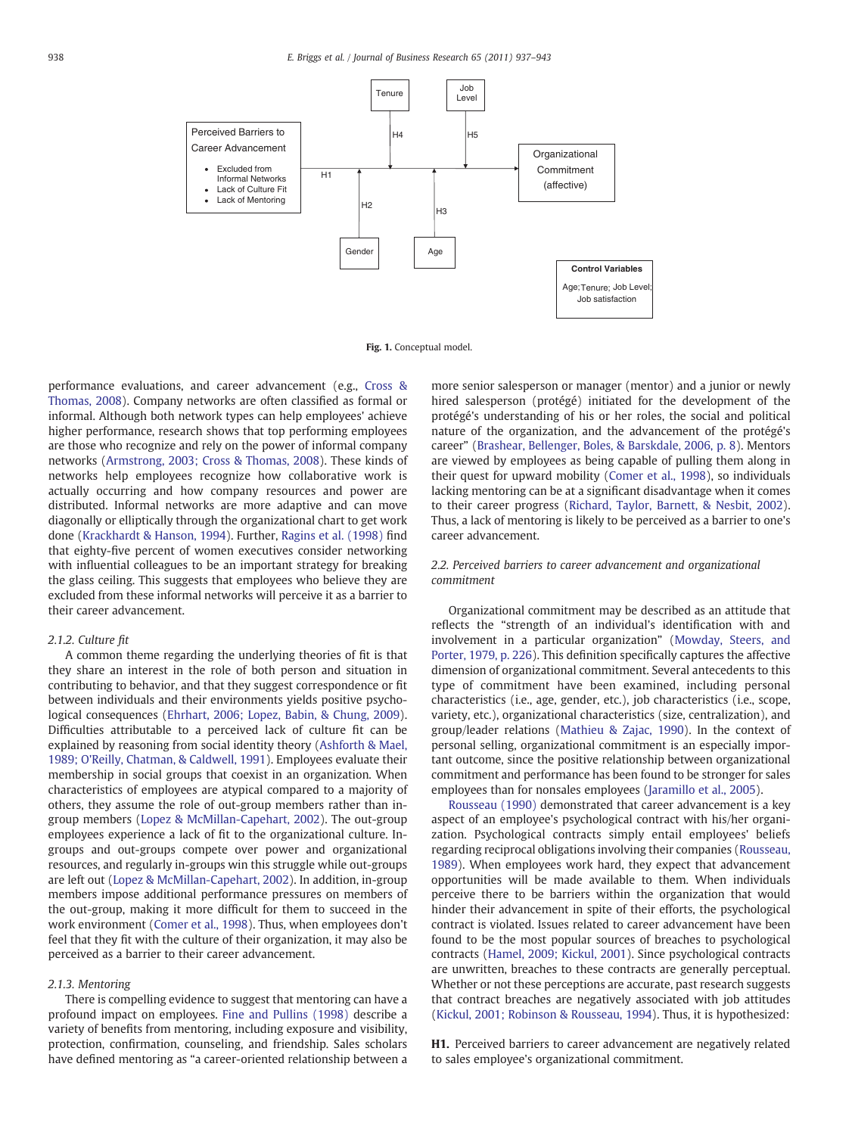<span id="page-1-0"></span>

Fig. 1. Conceptual model.

performance evaluations, and career advancement (e.g., [Cross &](#page--1-0) [Thomas, 2008](#page--1-0)). Company networks are often classified as formal or informal. Although both network types can help employees' achieve higher performance, research shows that top performing employees are those who recognize and rely on the power of informal company networks [\(Armstrong, 2003; Cross & Thomas, 2008](#page--1-0)). These kinds of networks help employees recognize how collaborative work is actually occurring and how company resources and power are distributed. Informal networks are more adaptive and can move diagonally or elliptically through the organizational chart to get work done ([Krackhardt & Hanson, 1994\)](#page--1-0). Further, [Ragins et al. \(1998\)](#page--1-0) find that eighty-five percent of women executives consider networking with influential colleagues to be an important strategy for breaking the glass ceiling. This suggests that employees who believe they are excluded from these informal networks will perceive it as a barrier to their career advancement.

#### 2.1.2. Culture fit

A common theme regarding the underlying theories of fit is that they share an interest in the role of both person and situation in contributing to behavior, and that they suggest correspondence or fit between individuals and their environments yields positive psychological consequences [\(Ehrhart, 2006; Lopez, Babin, & Chung, 2009](#page--1-0)). Difficulties attributable to a perceived lack of culture fit can be explained by reasoning from social identity theory ([Ashforth & Mael,](#page--1-0) [1989; O'Reilly, Chatman, & Caldwell, 1991\)](#page--1-0). Employees evaluate their membership in social groups that coexist in an organization. When characteristics of employees are atypical compared to a majority of others, they assume the role of out-group members rather than ingroup members ([Lopez & McMillan-Capehart, 2002\)](#page--1-0). The out-group employees experience a lack of fit to the organizational culture. Ingroups and out-groups compete over power and organizational resources, and regularly in-groups win this struggle while out-groups are left out [\(Lopez & McMillan-Capehart, 2002](#page--1-0)). In addition, in-group members impose additional performance pressures on members of the out-group, making it more difficult for them to succeed in the work environment ([Comer et al., 1998](#page--1-0)). Thus, when employees don't feel that they fit with the culture of their organization, it may also be perceived as a barrier to their career advancement.

#### 2.1.3. Mentoring

There is compelling evidence to suggest that mentoring can have a profound impact on employees. [Fine and Pullins \(1998\)](#page--1-0) describe a variety of benefits from mentoring, including exposure and visibility, protection, confirmation, counseling, and friendship. Sales scholars have defined mentoring as "a career-oriented relationship between a more senior salesperson or manager (mentor) and a junior or newly hired salesperson (protégé) initiated for the development of the protégé's understanding of his or her roles, the social and political nature of the organization, and the advancement of the protégé's career" ([Brashear, Bellenger, Boles, & Barskdale, 2006, p. 8\)](#page--1-0). Mentors are viewed by employees as being capable of pulling them along in their quest for upward mobility ([Comer et al., 1998\)](#page--1-0), so individuals lacking mentoring can be at a significant disadvantage when it comes to their career progress [\(Richard, Taylor, Barnett, & Nesbit, 2002](#page--1-0)). Thus, a lack of mentoring is likely to be perceived as a barrier to one's career advancement.

#### 2.2. Perceived barriers to career advancement and organizational commitment

Organizational commitment may be described as an attitude that reflects the "strength of an individual's identification with and involvement in a particular organization" ([Mowday, Steers, and](#page--1-0) [Porter, 1979, p. 226](#page--1-0)). This definition specifically captures the affective dimension of organizational commitment. Several antecedents to this type of commitment have been examined, including personal characteristics (i.e., age, gender, etc.), job characteristics (i.e., scope, variety, etc.), organizational characteristics (size, centralization), and group/leader relations ([Mathieu & Zajac, 1990](#page--1-0)). In the context of personal selling, organizational commitment is an especially important outcome, since the positive relationship between organizational commitment and performance has been found to be stronger for sales employees than for nonsales employees ([Jaramillo et al., 2005](#page--1-0)).

[Rousseau \(1990\)](#page--1-0) demonstrated that career advancement is a key aspect of an employee's psychological contract with his/her organization. Psychological contracts simply entail employees' beliefs regarding reciprocal obligations involving their companies ([Rousseau,](#page--1-0) [1989\)](#page--1-0). When employees work hard, they expect that advancement opportunities will be made available to them. When individuals perceive there to be barriers within the organization that would hinder their advancement in spite of their efforts, the psychological contract is violated. Issues related to career advancement have been found to be the most popular sources of breaches to psychological contracts [\(Hamel, 2009; Kickul, 2001](#page--1-0)). Since psychological contracts are unwritten, breaches to these contracts are generally perceptual. Whether or not these perceptions are accurate, past research suggests that contract breaches are negatively associated with job attitudes [\(Kickul, 2001; Robinson & Rousseau, 1994\)](#page--1-0). Thus, it is hypothesized:

H1. Perceived barriers to career advancement are negatively related to sales employee's organizational commitment.